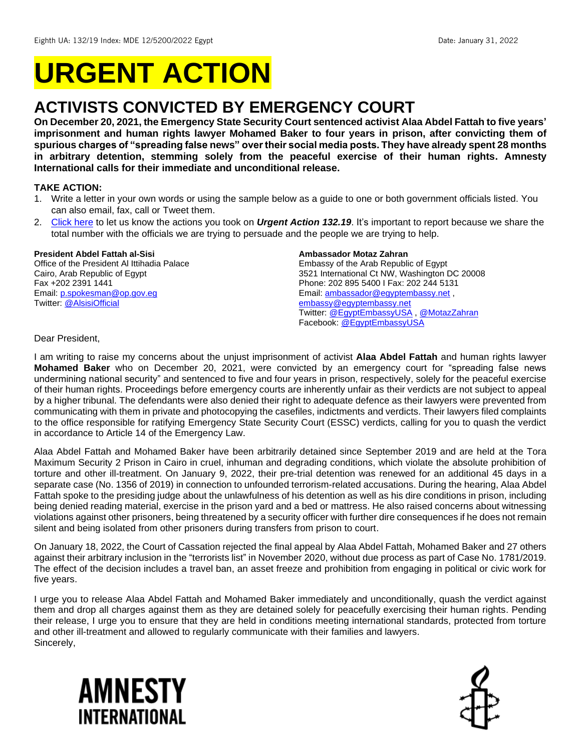# **URGENT ACTION**

## **ACTIVISTS CONVICTED BY EMERGENCY COURT**

**On December 20, 2021, the Emergency State Security Court sentenced activist Alaa Abdel Fattah to five years' imprisonment and human rights lawyer Mohamed Baker to four years in prison, after convicting them of spurious charges of "spreading false news" over their social media posts. They have already spent 28 months in arbitrary detention, stemming solely from the peaceful exercise of their human rights. Amnesty International calls for their immediate and unconditional release.**

#### **TAKE ACTION:**

- 1. Write a letter in your own words or using the sample below as a guide to one or both government officials listed. You can also email, fax, call or Tweet them.
- 2. [Click here](https://www.amnestyusa.org/report-urgent-actions/) to let us know the actions you took on *Urgent Action 132.19*. It's important to report because we share the total number with the officials we are trying to persuade and the people we are trying to help.

#### **President Abdel Fattah al-Sisi**

Office of the President Al Ittihadia Palace Cairo, Arab Republic of Egypt Fax +202 2391 1441 Email[: p.spokesman@op.gov.eg](mailto:p.spokesman@op.gov.eg) Twitter: [@AlsisiOfficial](https://twitter.com/AlsisiOfficial)

#### **Ambassador Motaz Zahran**

Embassy of the Arab Republic of Egypt 3521 International Ct NW, Washington DC 20008 Phone: 202 895 5400 I Fax: 202 244 5131 Email[: ambassador@egyptembassy.net](mailto:ambassador@egyptembassy.net) , [embassy@egyptembassy.net](mailto:embassy@egyptembassy.net) Twitter: [@EgyptEmbassyUSA](https://twitter.com/EgyptEmbassyUSA?ref_src=twsrc%5Egoogle%7Ctwcamp%5Eserp%7Ctwgr%5Eauthor) , [@MotazZahran](https://twitter.com/MotazZahran) Facebook[: @EgyptEmbassyUSA](https://www.facebook.com/EgyptEmbassyUSA/)

Dear President,

I am writing to raise my concerns about the unjust imprisonment of activist **Alaa Abdel Fattah** and human rights lawyer **Mohamed Baker** who on December 20, 2021, were convicted by an emergency court for "spreading false news undermining national security" and sentenced to five and four years in prison, respectively, solely for the peaceful exercise of their human rights. Proceedings before emergency courts are inherently unfair as their verdicts are not subject to appeal by a higher tribunal. The defendants were also denied their right to adequate defence as their lawyers were prevented from communicating with them in private and photocopying the casefiles, indictments and verdicts. Their lawyers filed complaints to the office responsible for ratifying Emergency State Security Court (ESSC) verdicts, calling for you to quash the verdict in accordance to Article 14 of the Emergency Law.

Alaa Abdel Fattah and Mohamed Baker have been arbitrarily detained since September 2019 and are held at the Tora Maximum Security 2 Prison in Cairo in cruel, inhuman and degrading conditions, which violate the absolute prohibition of torture and other ill-treatment. On January 9, 2022, their pre-trial detention was renewed for an additional 45 days in a separate case (No. 1356 of 2019) in connection to unfounded terrorism-related accusations. During the hearing, Alaa Abdel Fattah spoke to the presiding judge about the unlawfulness of his detention as well as his dire conditions in prison, including being denied reading material, exercise in the prison yard and a bed or mattress. He also raised concerns about witnessing violations against other prisoners, being threatened by a security officer with further dire consequences if he does not remain silent and being isolated from other prisoners during transfers from prison to court.

On January 18, 2022, the Court of Cassation rejected the final appeal by Alaa Abdel Fattah, Mohamed Baker and 27 others against their arbitrary inclusion in the "terrorists list" in November 2020, without due process as part of Case No. 1781/2019. The effect of the decision includes a travel ban, an asset freeze and prohibition from engaging in political or civic work for five years.

I urge you to release Alaa Abdel Fattah and Mohamed Baker immediately and unconditionally, quash the verdict against them and drop all charges against them as they are detained solely for peacefully exercising their human rights. Pending their release, I urge you to ensure that they are held in conditions meeting international standards, protected from torture and other ill-treatment and allowed to regularly communicate with their families and lawyers. Sincerely,